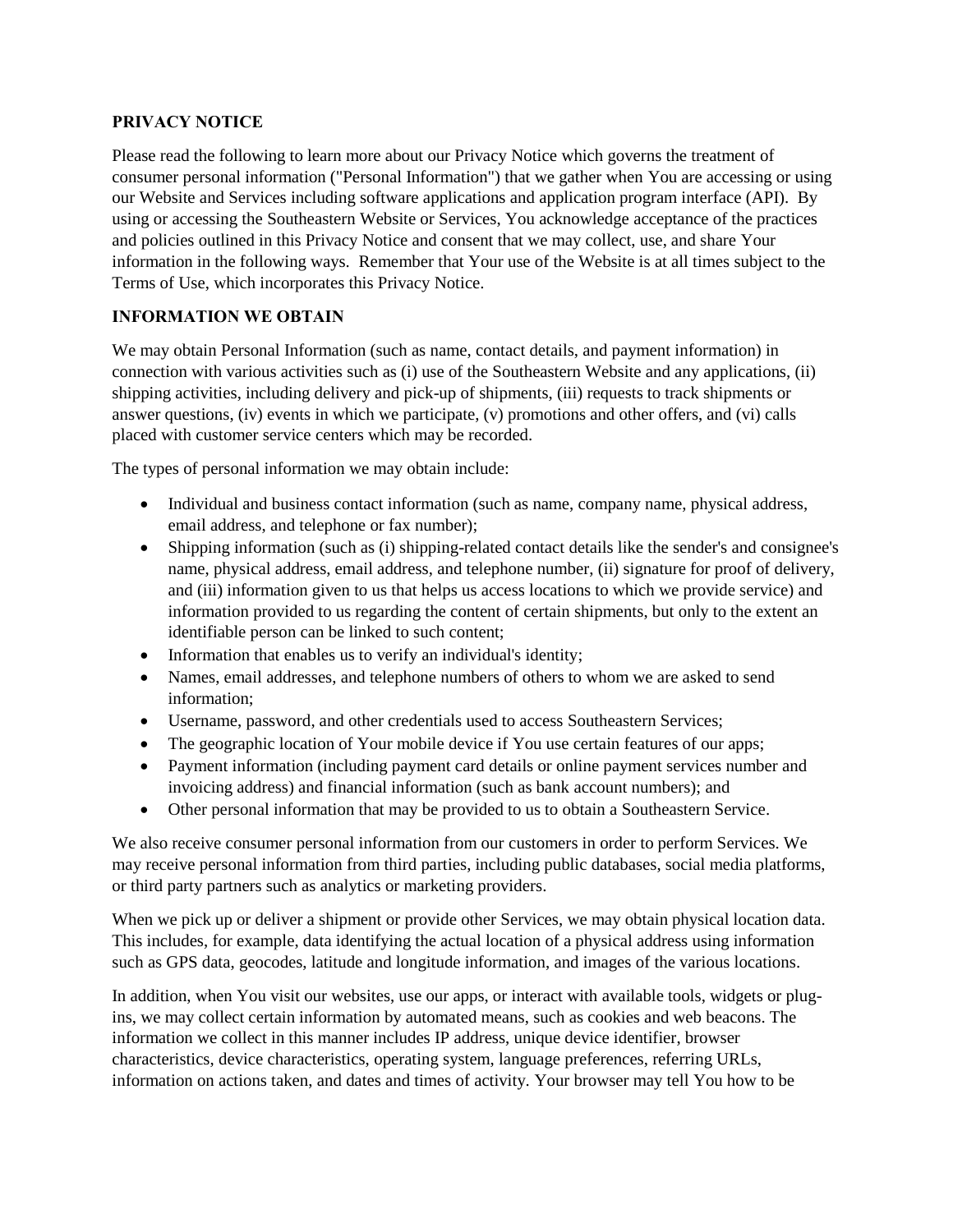#### **PRIVACY NOTICE**

Please read the following to learn more about our Privacy Notice which governs the treatment of consumer personal information ("Personal Information") that we gather when You are accessing or using our Website and Services including software applications and application program interface (API). By using or accessing the Southeastern Website or Services, You acknowledge acceptance of the practices and policies outlined in this Privacy Notice and consent that we may collect, use, and share Your information in the following ways. Remember that Your use of the Website is at all times subject to the Terms of Use, which incorporates this Privacy Notice.

# **INFORMATION WE OBTAIN**

We may obtain Personal Information (such as name, contact details, and payment information) in connection with various activities such as (i) use of the Southeastern Website and any applications, (ii) shipping activities, including delivery and pick-up of shipments, (iii) requests to track shipments or answer questions, (iv) events in which we participate, (v) promotions and other offers, and (vi) calls placed with customer service centers which may be recorded.

The types of personal information we may obtain include:

- Individual and business contact information (such as name, company name, physical address, email address, and telephone or fax number);
- Shipping information (such as (i) shipping-related contact details like the sender's and consignee's name, physical address, email address, and telephone number, (ii) signature for proof of delivery, and (iii) information given to us that helps us access locations to which we provide service) and information provided to us regarding the content of certain shipments, but only to the extent an identifiable person can be linked to such content;
- Information that enables us to verify an individual's identity;
- Names, email addresses, and telephone numbers of others to whom we are asked to send information;
- Username, password, and other credentials used to access Southeastern Services;
- The geographic location of Your mobile device if You use certain features of our apps;
- Payment information (including payment card details or online payment services number and invoicing address) and financial information (such as bank account numbers); and
- Other personal information that may be provided to us to obtain a Southeastern Service.

We also receive consumer personal information from our customers in order to perform Services. We may receive personal information from third parties, including public databases, social media platforms, or third party partners such as analytics or marketing providers.

When we pick up or deliver a shipment or provide other Services, we may obtain physical location data. This includes, for example, data identifying the actual location of a physical address using information such as GPS data, geocodes, latitude and longitude information, and images of the various locations.

In addition, when You visit our websites, use our apps, or interact with available tools, widgets or plugins, we may collect certain information by automated means, such as cookies and web beacons. The information we collect in this manner includes IP address, unique device identifier, browser characteristics, device characteristics, operating system, language preferences, referring URLs, information on actions taken, and dates and times of activity. Your browser may tell You how to be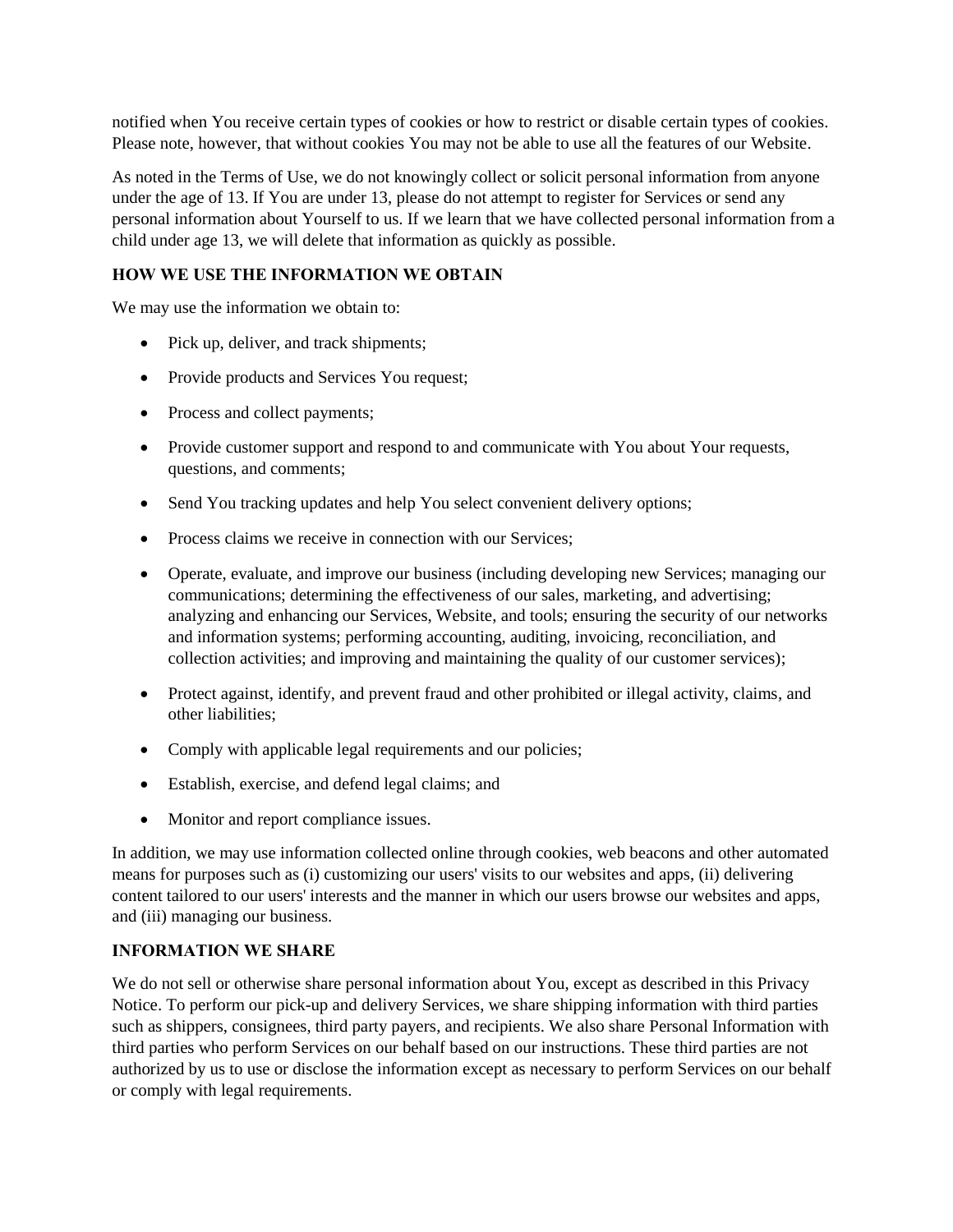notified when You receive certain types of cookies or how to restrict or disable certain types of cookies. Please note, however, that without cookies You may not be able to use all the features of our Website.

As noted in the Terms of Use, we do not knowingly collect or solicit personal information from anyone under the age of 13. If You are under 13, please do not attempt to register for Services or send any personal information about Yourself to us. If we learn that we have collected personal information from a child under age 13, we will delete that information as quickly as possible.

## **HOW WE USE THE INFORMATION WE OBTAIN**

We may use the information we obtain to:

- Pick up, deliver, and track shipments;
- Provide products and Services You request;
- Process and collect payments;
- Provide customer support and respond to and communicate with You about Your requests, questions, and comments;
- Send You tracking updates and help You select convenient delivery options;
- Process claims we receive in connection with our Services:
- Operate, evaluate, and improve our business (including developing new Services; managing our communications; determining the effectiveness of our sales, marketing, and advertising; analyzing and enhancing our Services, Website, and tools; ensuring the security of our networks and information systems; performing accounting, auditing, invoicing, reconciliation, and collection activities; and improving and maintaining the quality of our customer services);
- Protect against, identify, and prevent fraud and other prohibited or illegal activity, claims, and other liabilities;
- Comply with applicable legal requirements and our policies;
- Establish, exercise, and defend legal claims; and
- Monitor and report compliance issues.

In addition, we may use information collected online through cookies, web beacons and other automated means for purposes such as (i) customizing our users' visits to our websites and apps, (ii) delivering content tailored to our users' interests and the manner in which our users browse our websites and apps, and (iii) managing our business.

## **INFORMATION WE SHARE**

We do not sell or otherwise share personal information about You, except as described in this Privacy Notice. To perform our pick-up and delivery Services, we share shipping information with third parties such as shippers, consignees, third party payers, and recipients. We also share Personal Information with third parties who perform Services on our behalf based on our instructions. These third parties are not authorized by us to use or disclose the information except as necessary to perform Services on our behalf or comply with legal requirements.